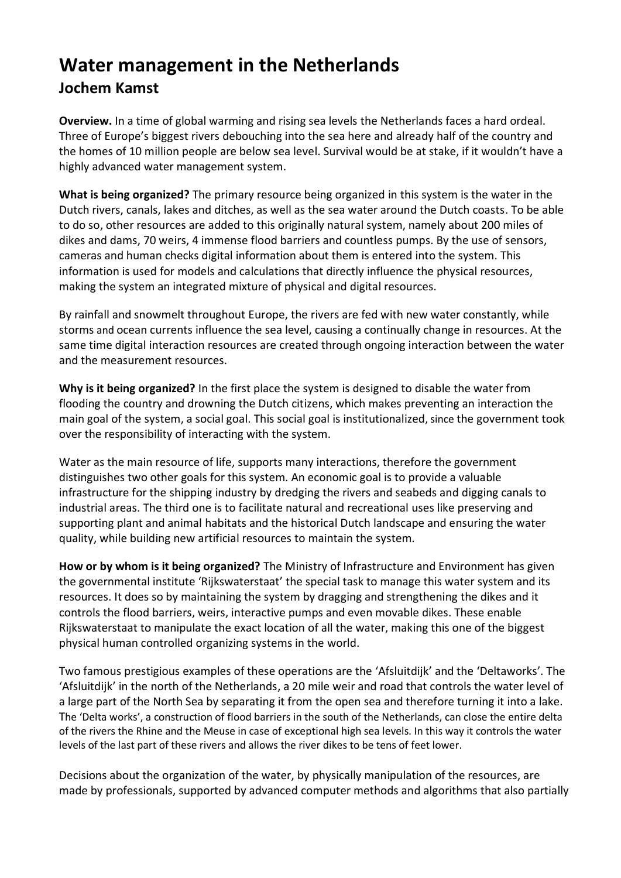## **Water management in the Netherlands Jochem Kamst**

**Overview.** In a time of global warming and rising sea levels the Netherlands faces a hard ordeal. Three of Europe's biggest rivers debouching into the sea here and already half of the country and the homes of 10 million people are below sea level. Survival would be at stake, if it wouldn't have a highly advanced water management system.

**What is being organized?** The primary resource being organized in this system is the water in the Dutch rivers, canals, lakes and ditches, as well as the sea water around the Dutch coasts. To be able to do so, other resources are added to this originally natural system, namely about 200 miles of dikes and dams, 70 weirs, 4 immense flood barriers and countless pumps. By the use of sensors, cameras and human checks digital information about them is entered into the system. This information is used for models and calculations that directly influence the physical resources, making the system an integrated mixture of physical and digital resources.

By rainfall and snowmelt throughout Europe, the rivers are fed with new water constantly, while storms and ocean currents influence the sea level, causing a continually change in resources. At the same time digital interaction resources are created through ongoing interaction between the water and the measurement resources.

**Why is it being organized?** In the first place the system is designed to disable the water from flooding the country and drowning the Dutch citizens, which makes preventing an interaction the main goal of the system, a social goal. This social goal is institutionalized, since the government took over the responsibility of interacting with the system.

Water as the main resource of life, supports many interactions, therefore the government distinguishes two other goals for this system. An economic goal is to provide a valuable infrastructure for the shipping industry by dredging the rivers and seabeds and digging canals to industrial areas. The third one is to facilitate natural and recreational uses like preserving and supporting plant and animal habitats and the historical Dutch landscape and ensuring the water quality, while building new artificial resources to maintain the system.

**How or by whom is it being organized?** The Ministry of Infrastructure and Environment has given the governmental institute 'Rijkswaterstaat' the special task to manage this water system and its resources. It does so by maintaining the system by dragging and strengthening the dikes and it controls the flood barriers, weirs, interactive pumps and even movable dikes. These enable Rijkswaterstaat to manipulate the exact location of all the water, making this one of the biggest physical human controlled organizing systems in the world.

Two famous prestigious examples of these operations are the 'Afsluitdijk' and the 'Deltaworks'. The 'Afsluitdijk' in the north of the Netherlands, a 20 mile weir and road that controls the water level of a large part of the North Sea by separating it from the open sea and therefore turning it into a lake. The 'Delta works', a construction of flood barriers in the south of the Netherlands, can close the entire delta of the rivers the Rhine and the Meuse in case of exceptional high sea levels. In this way it controls the water levels of the last part of these rivers and allows the river dikes to be tens of feet lower.

Decisions about the organization of the water, by physically manipulation of the resources, are made by professionals, supported by advanced computer methods and algorithms that also partially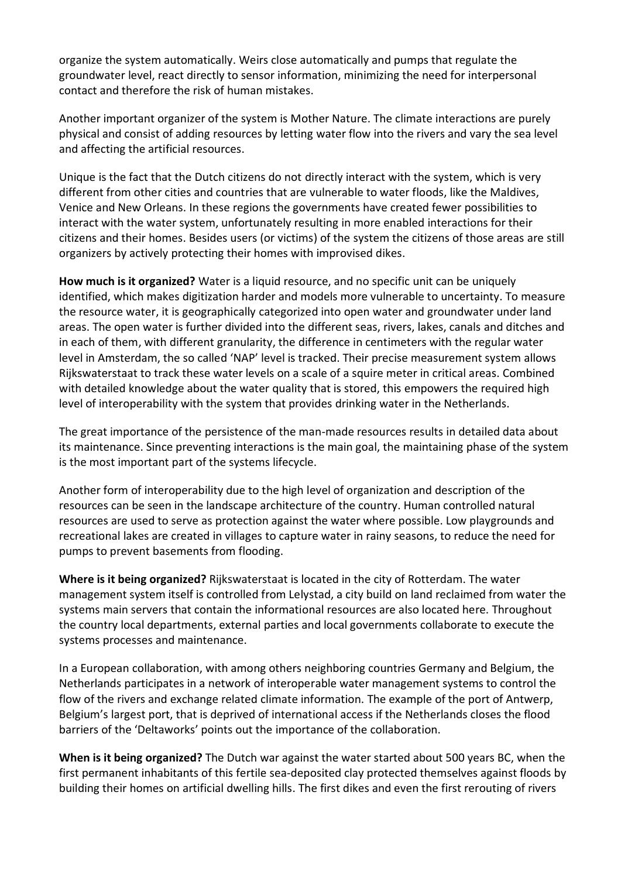organize the system automatically. Weirs close automatically and pumps that regulate the groundwater level, react directly to sensor information, minimizing the need for interpersonal contact and therefore the risk of human mistakes.

Another important organizer of the system is Mother Nature. The climate interactions are purely physical and consist of adding resources by letting water flow into the rivers and vary the sea level and affecting the artificial resources.

Unique is the fact that the Dutch citizens do not directly interact with the system, which is very different from other cities and countries that are vulnerable to water floods, like the Maldives, Venice and New Orleans. In these regions the governments have created fewer possibilities to interact with the water system, unfortunately resulting in more enabled interactions for their citizens and their homes. Besides users (or victims) of the system the citizens of those areas are still organizers by actively protecting their homes with improvised dikes.

**How much is it organized?** Water is a liquid resource, and no specific unit can be uniquely identified, which makes digitization harder and models more vulnerable to uncertainty. To measure the resource water, it is geographically categorized into open water and groundwater under land areas. The open water is further divided into the different seas, rivers, lakes, canals and ditches and in each of them, with different granularity, the difference in centimeters with the regular water level in Amsterdam, the so called 'NAP' level is tracked. Their precise measurement system allows Rijkswaterstaat to track these water levels on a scale of a squire meter in critical areas. Combined with detailed knowledge about the water quality that is stored, this empowers the required high level of interoperability with the system that provides drinking water in the Netherlands.

The great importance of the persistence of the man-made resources results in detailed data about its maintenance. Since preventing interactions is the main goal, the maintaining phase of the system is the most important part of the systems lifecycle.

Another form of interoperability due to the high level of organization and description of the resources can be seen in the landscape architecture of the country. Human controlled natural resources are used to serve as protection against the water where possible. Low playgrounds and recreational lakes are created in villages to capture water in rainy seasons, to reduce the need for pumps to prevent basements from flooding.

**Where is it being organized?** Rijkswaterstaat is located in the city of Rotterdam. The water management system itself is controlled from Lelystad, a city build on land reclaimed from water the systems main servers that contain the informational resources are also located here. Throughout the country local departments, external parties and local governments collaborate to execute the systems processes and maintenance.

In a European collaboration, with among others neighboring countries Germany and Belgium, the Netherlands participates in a network of interoperable water management systems to control the flow of the rivers and exchange related climate information. The example of the port of Antwerp, Belgium's largest port, that is deprived of international access if the Netherlands closes the flood barriers of the 'Deltaworks' points out the importance of the collaboration.

**When is it being organized?** The Dutch war against the water started about 500 years BC, when the first permanent inhabitants of this fertile sea-deposited clay protected themselves against floods by building their homes on artificial dwelling hills. The first dikes and even the first rerouting of rivers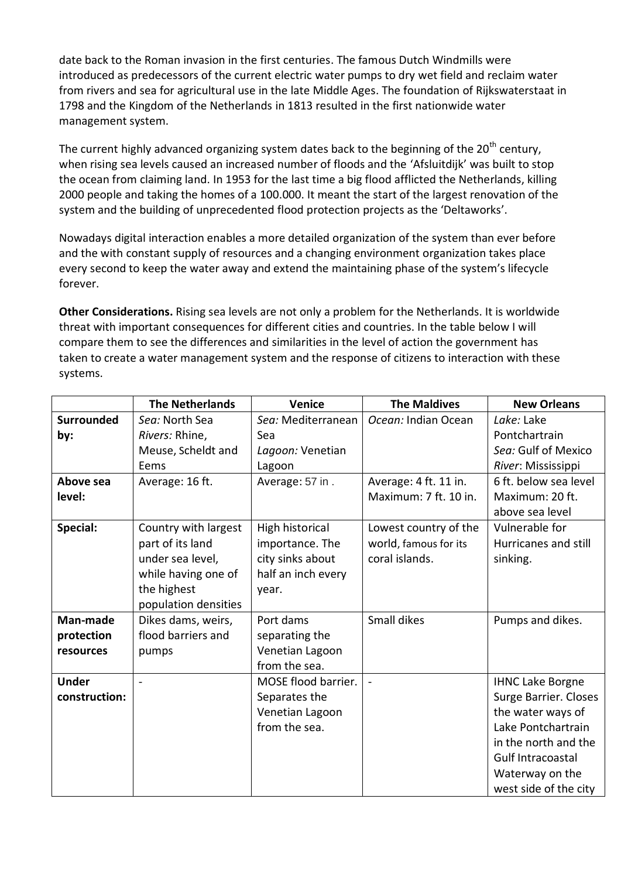date back to the Roman invasion in the first centuries. The famous Dutch Windmills were introduced as predecessors of the current electric water pumps to dry wet field and reclaim water from rivers and sea for agricultural use in the late Middle Ages. The foundation of Rijkswaterstaat in 1798 and the Kingdom of the Netherlands in 1813 resulted in the first nationwide water management system.

The current highly advanced organizing system dates back to the beginning of the 20<sup>th</sup> century, when rising sea levels caused an increased number of floods and the 'Afsluitdijk' was built to stop the ocean from claiming land. In 1953 for the last time a big flood afflicted the Netherlands, killing 2000 people and taking the homes of a 100.000. It meant the start of the largest renovation of the system and the building of unprecedented flood protection projects as the 'Deltaworks'.

Nowadays digital interaction enables a more detailed organization of the system than ever before and the with constant supply of resources and a changing environment organization takes place every second to keep the water away and extend the maintaining phase of the system's lifecycle forever.

**Other Considerations.** Rising sea levels are not only a problem for the Netherlands. It is worldwide threat with important consequences for different cities and countries. In the table below I will compare them to see the differences and similarities in the level of action the government has taken to create a water management system and the response of citizens to interaction with these systems.

|                   | <b>The Netherlands</b> | Venice              | <b>The Maldives</b>   | <b>New Orleans</b>      |
|-------------------|------------------------|---------------------|-----------------------|-------------------------|
| <b>Surrounded</b> | Sea: North Sea         | Sea: Mediterranean  | Ocean: Indian Ocean   | Lake: Lake              |
| by:               | Rivers: Rhine,         | Sea                 |                       | Pontchartrain           |
|                   | Meuse, Scheldt and     | Lagoon: Venetian    |                       | Sea: Gulf of Mexico     |
|                   | Eems                   | Lagoon              |                       | River: Mississippi      |
| Above sea         | Average: 16 ft.        | Average: 57 in.     | Average: 4 ft. 11 in. | 6 ft. below sea level   |
| level:            |                        |                     | Maximum: 7 ft. 10 in. | Maximum: 20 ft.         |
|                   |                        |                     |                       | above sea level         |
| Special:          | Country with largest   | High historical     | Lowest country of the | Vulnerable for          |
|                   | part of its land       | importance. The     | world, famous for its | Hurricanes and still    |
|                   | under sea level,       | city sinks about    | coral islands.        | sinking.                |
|                   | while having one of    | half an inch every  |                       |                         |
|                   | the highest            | year.               |                       |                         |
|                   | population densities   |                     |                       |                         |
| Man-made          | Dikes dams, weirs,     | Port dams           | Small dikes           | Pumps and dikes.        |
| protection        | flood barriers and     | separating the      |                       |                         |
| resources         | pumps                  | Venetian Lagoon     |                       |                         |
|                   |                        | from the sea.       |                       |                         |
| <b>Under</b>      |                        | MOSE flood barrier. |                       | <b>IHNC Lake Borgne</b> |
| construction:     |                        | Separates the       |                       | Surge Barrier. Closes   |
|                   |                        | Venetian Lagoon     |                       | the water ways of       |
|                   |                        | from the sea.       |                       | Lake Pontchartrain      |
|                   |                        |                     |                       | in the north and the    |
|                   |                        |                     |                       | Gulf Intracoastal       |
|                   |                        |                     |                       | Waterway on the         |
|                   |                        |                     |                       | west side of the city   |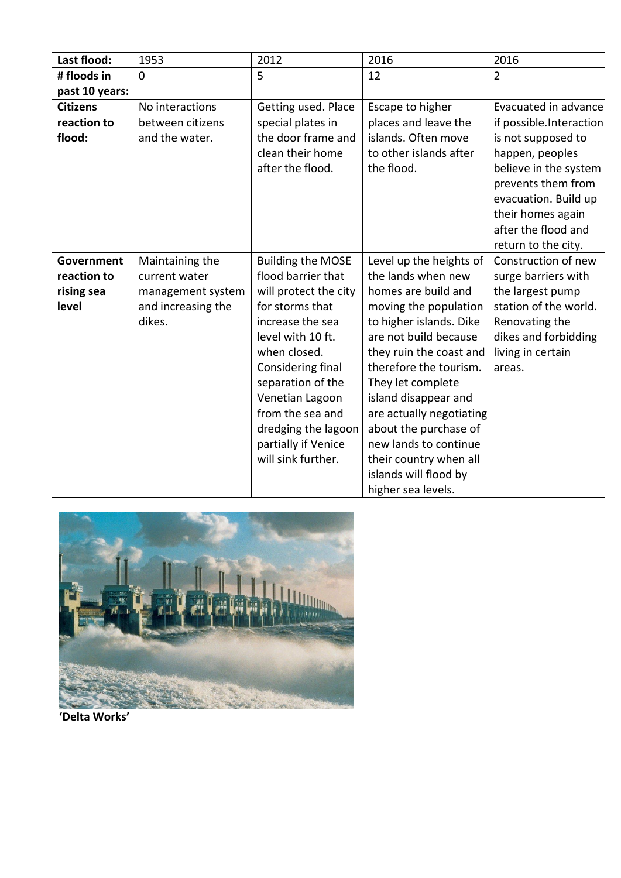| Last flood:       | 1953               | 2012                     | 2016                     | 2016                    |
|-------------------|--------------------|--------------------------|--------------------------|-------------------------|
| # floods in       | $\overline{0}$     | 5                        | 12                       | $\overline{2}$          |
| past 10 years:    |                    |                          |                          |                         |
| <b>Citizens</b>   | No interactions    | Getting used. Place      | Escape to higher         | Evacuated in advance    |
| reaction to       | between citizens   | special plates in        | places and leave the     | if possible.Interaction |
| flood:            | and the water.     | the door frame and       | islands. Often move      | is not supposed to      |
|                   |                    | clean their home         | to other islands after   | happen, peoples         |
|                   |                    | after the flood.         | the flood.               | believe in the system   |
|                   |                    |                          |                          | prevents them from      |
|                   |                    |                          |                          | evacuation. Build up    |
|                   |                    |                          |                          | their homes again       |
|                   |                    |                          |                          | after the flood and     |
|                   |                    |                          |                          | return to the city.     |
| <b>Government</b> | Maintaining the    | <b>Building the MOSE</b> | Level up the heights of  | Construction of new     |
| reaction to       | current water      | flood barrier that       | the lands when new       | surge barriers with     |
| rising sea        | management system  | will protect the city    | homes are build and      | the largest pump        |
| level             | and increasing the | for storms that          | moving the population    | station of the world.   |
|                   | dikes.             | increase the sea         | to higher islands. Dike  | Renovating the          |
|                   |                    | level with 10 ft.        | are not build because    | dikes and forbidding    |
|                   |                    | when closed.             | they ruin the coast and  | living in certain       |
|                   |                    | Considering final        | therefore the tourism.   | areas.                  |
|                   |                    | separation of the        | They let complete        |                         |
|                   |                    | Venetian Lagoon          | island disappear and     |                         |
|                   |                    | from the sea and         | are actually negotiating |                         |
|                   |                    | dredging the lagoon      | about the purchase of    |                         |
|                   |                    | partially if Venice      | new lands to continue    |                         |
|                   |                    | will sink further.       | their country when all   |                         |
|                   |                    |                          | islands will flood by    |                         |
|                   |                    |                          | higher sea levels.       |                         |



**'Delta Works'**